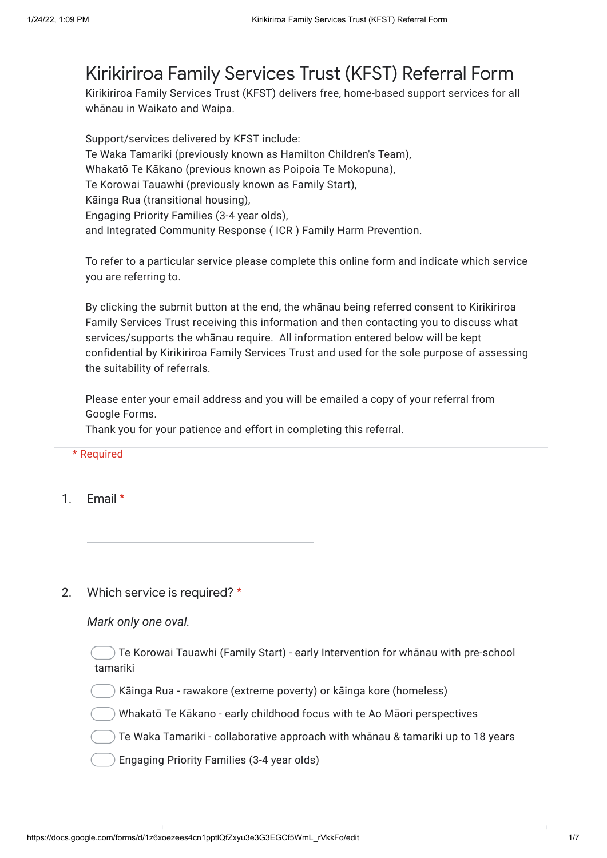## Kirikiriroa Family Services Trust (KFST) Referral Form

Kirikiriroa Family Services Trust (KFST) delivers free, home-based support services for all whānau in Waikato and Waipa.

Support/services delivered by KFST include: Te Waka Tamariki (previously known as Hamilton Children's Team), Whakatō Te Kākano (previous known as Poipoia Te Mokopuna), Te Korowai Tauawhi (previously known as Family Start), Kāinga Rua (transitional housing), Engaging Priority Families (3-4 year olds), and Integrated Community Response ( ICR ) Family Harm Prevention.

To refer to a particular service please complete this online form and indicate which service you are referring to.

By clicking the submit button at the end, the whānau being referred consent to Kirikiriroa Family Services Trust receiving this information and then contacting you to discuss what services/supports the whānau require. All information entered below will be kept confidential by Kirikiriroa Family Services Trust and used for the sole purpose of assessing the suitability of referrals.

Please enter your email address and you will be emailed a copy of your referral from Google Forms.

Thank you for your patience and effort in completing this referral.

#### \* Required

1. Email \*

#### 2. Which service is required? \*

### *Mark only one oval.*

Te Korowai Tauawhi (Family Start) - early Intervention for whānau with pre-school tamariki

Kāinga Rua - rawakore (extreme poverty) or kāinga kore (homeless)

Whakatō Te Kākano - early childhood focus with te Ao Māori perspectives

Te Waka Tamariki - collaborative approach with whānau & tamariki up to 18 years

Engaging Priority Families (3-4 year olds)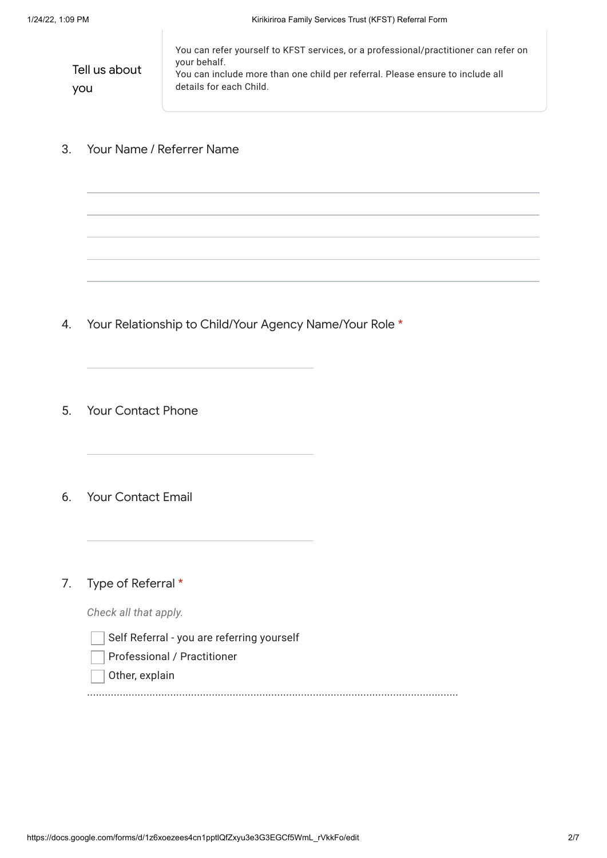Tell us about you You can refer yourself to KFST services, or a professional/practitioner can refer on your behalf. You can include more than one child per referral. Please ensure to include all details for each Child.

3. Your Name / Referrer Name

- 4. Your Relationship to Child/Your Agency Name/Your Role \*
- 5. Your Contact Phone
- 6. Your Contact Email
- 7. Type of Referral \*

*Check all that apply.*

- Self Referral you are referring yourself
- Professional / Practitioner
- Other, explain

.............................................................................................................................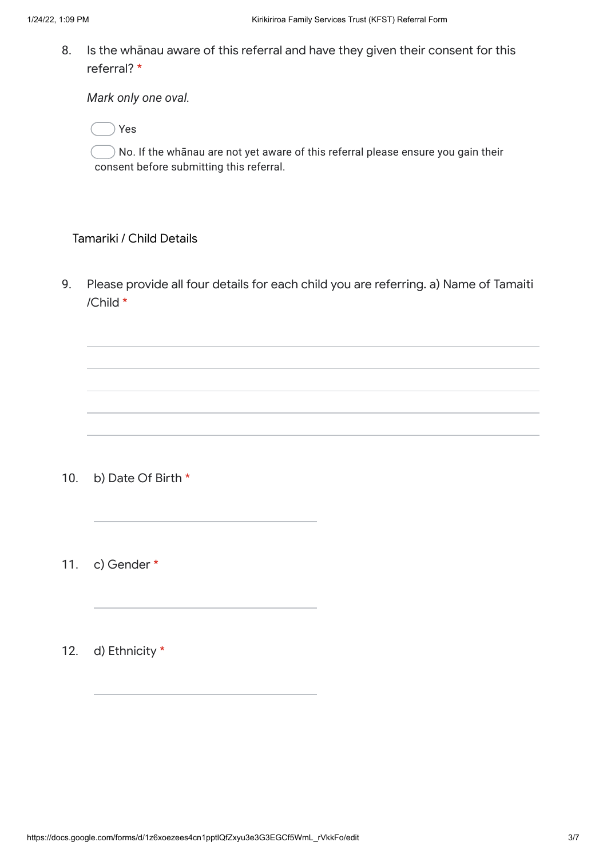8. Is the whānau aware of this referral and have they given their consent for this referral? \*

*Mark only one oval.*

Yes

 $\bigcirc$  No. If the whanau are not yet aware of this referral please ensure you gain their consent before submitting this referral.

### Tamariki / Child Details

9. Please provide all four details for each child you are referring. a) Name of Tamaiti /Child \*

- 10. b) Date Of Birth \*
- 11. c) Gender \*
- 12. d) Ethnicity \*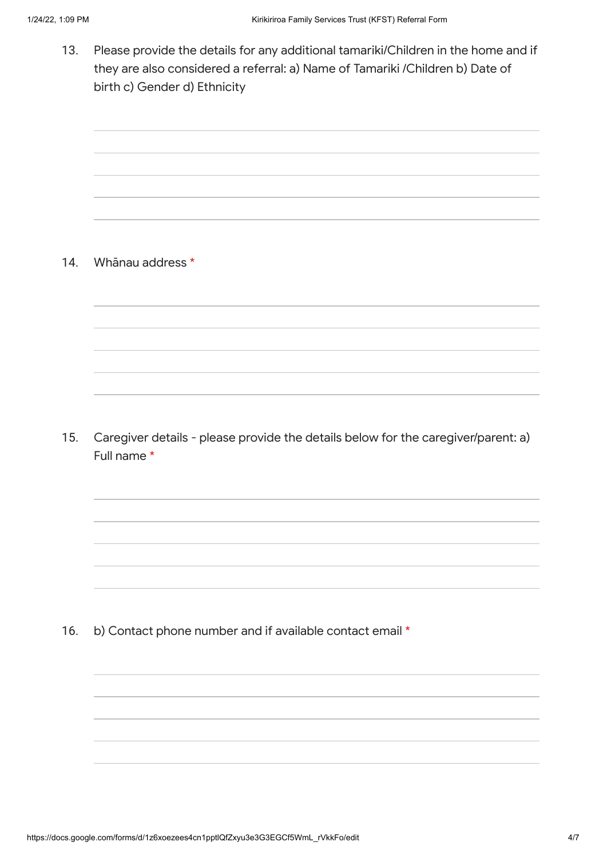13. Please provide the details for any additional tamariki/Children in the home and if they are also considered a referral: a) Name of Tamariki /Children b) Date of birth c) Gender d) Ethnicity

14. Whānau address \*

15. Caregiver details - please provide the details below for the caregiver/parent: a) Full name \*

16. b) Contact phone number and if available contact email \*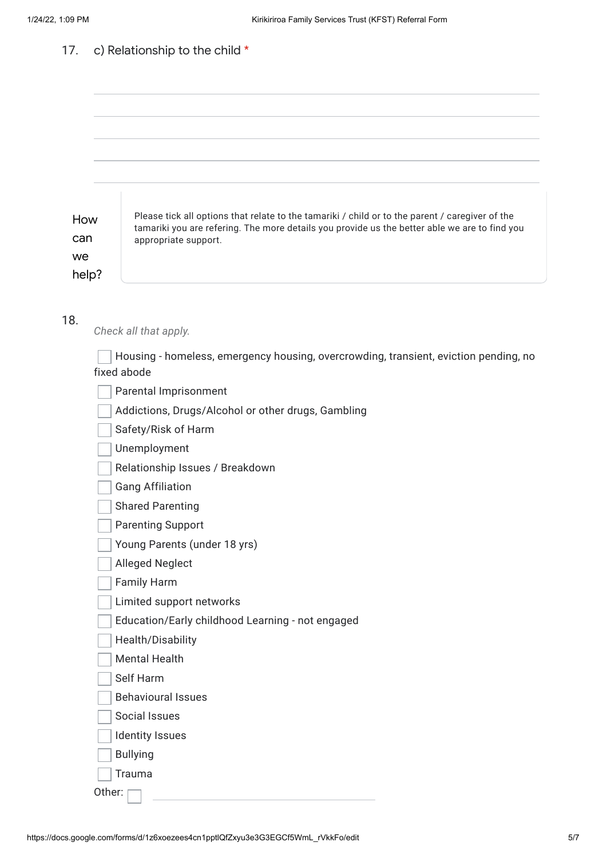#### 17. c) Relationship to the child \*

| How<br>can<br>we<br>help? | Please tick all options that relate to the tamariki / child or to the parent / caregiver of the<br>tamariki you are refering. The more details you provide us the better able we are to find you<br>appropriate support. |
|---------------------------|--------------------------------------------------------------------------------------------------------------------------------------------------------------------------------------------------------------------------|
| 18.                       | Check all that apply.                                                                                                                                                                                                    |
|                           |                                                                                                                                                                                                                          |
|                           | Housing - homeless, emergency housing, overcrowding, transient, eviction pending, no<br>fixed abode                                                                                                                      |
|                           | Parental Imprisonment                                                                                                                                                                                                    |
|                           | Addictions, Drugs/Alcohol or other drugs, Gambling                                                                                                                                                                       |
|                           | Safety/Risk of Harm                                                                                                                                                                                                      |
|                           | Unemployment                                                                                                                                                                                                             |
|                           | Relationship Issues / Breakdown                                                                                                                                                                                          |
|                           | <b>Gang Affiliation</b>                                                                                                                                                                                                  |
|                           | <b>Shared Parenting</b>                                                                                                                                                                                                  |
|                           | <b>Parenting Support</b>                                                                                                                                                                                                 |
|                           | Young Parents (under 18 yrs)                                                                                                                                                                                             |
|                           | <b>Alleged Neglect</b>                                                                                                                                                                                                   |
|                           | <b>Family Harm</b>                                                                                                                                                                                                       |
|                           | Limited support networks                                                                                                                                                                                                 |
|                           | Education/Early childhood Learning - not engaged                                                                                                                                                                         |
|                           | Health/Disability                                                                                                                                                                                                        |
|                           | <b>Mental Health</b>                                                                                                                                                                                                     |
|                           | Self Harm                                                                                                                                                                                                                |
|                           | <b>Behavioural Issues</b>                                                                                                                                                                                                |
|                           | Social Issues                                                                                                                                                                                                            |
|                           | <b>Identity Issues</b>                                                                                                                                                                                                   |
|                           | <b>Bullying</b>                                                                                                                                                                                                          |
|                           | Trauma                                                                                                                                                                                                                   |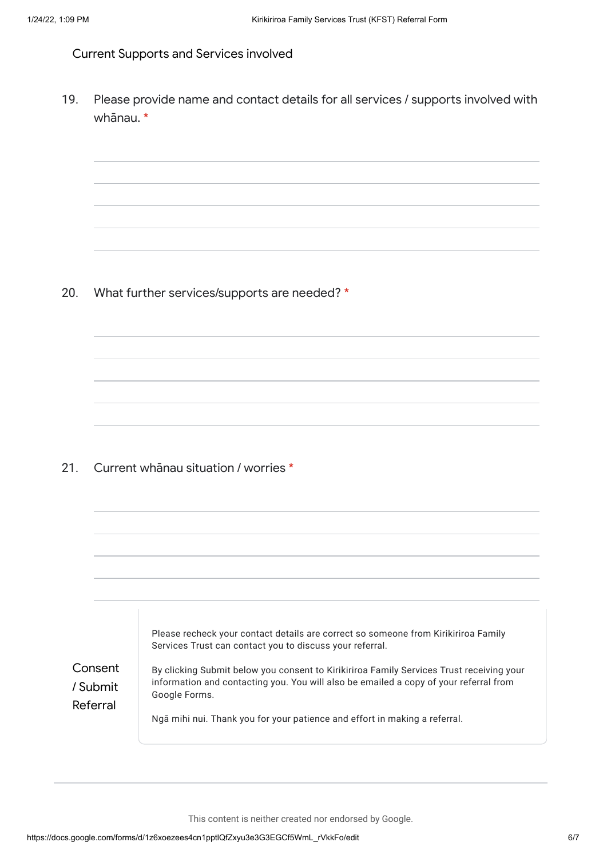Current Supports and Services involved

19. Please provide name and contact details for all services / supports involved with whānau. \*

20. What further services/supports are needed? \*

21. Current whānau situation / worries \*

|                                 | Please recheck your contact details are correct so someone from Kirikiriroa Family<br>Services Trust can contact you to discuss your referral.                                                     |
|---------------------------------|----------------------------------------------------------------------------------------------------------------------------------------------------------------------------------------------------|
| Consent<br>/ Submit<br>Referral | By clicking Submit below you consent to Kirikiriroa Family Services Trust receiving your<br>information and contacting you. You will also be emailed a copy of your referral from<br>Google Forms. |
|                                 | Ngā mihi nui. Thank you for your patience and effort in making a referral.                                                                                                                         |

This content is neither created nor endorsed by Google.